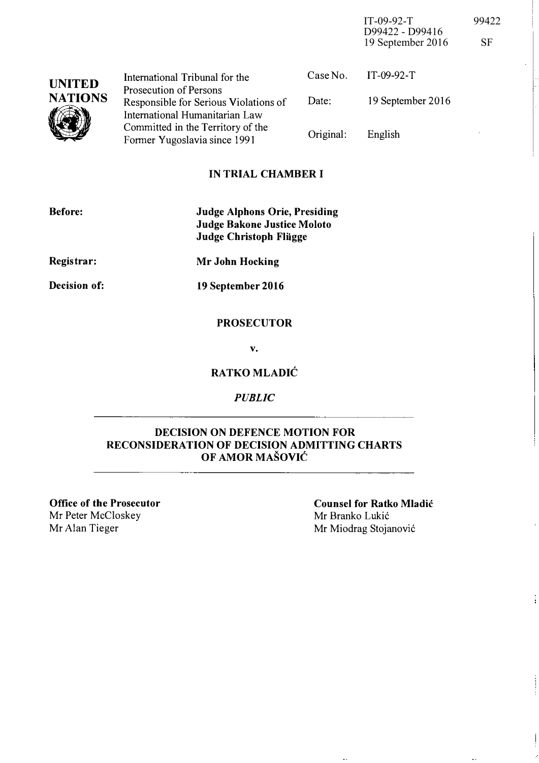IT-09-92-T 99422 D99422 - D99416 19 September 2016 SF

| <b>UNITED</b><br><b>NATIONS</b> | International Tribunal for the                                          |           | Case No. IT-09-92-T |
|---------------------------------|-------------------------------------------------------------------------|-----------|---------------------|
|                                 | <b>Prosecution of Persons</b>                                           | Date:     | 19 September 2016   |
|                                 | Responsible for Serious Violations of<br>International Humanitarian Law |           |                     |
|                                 | Committed in the Territory of the<br>Former Yugoslavia since 1991       | Original: | English             |

### IN TRIAL CHAMBER I

| <b>Before:</b> | <b>Judge Alphons Orie, Presiding</b><br>Judge Bakone Justice Moloto<br><b>Judge Christoph Fliigge</b> |
|----------------|-------------------------------------------------------------------------------------------------------|
| Registrar:     | Mr John Hocking                                                                                       |
| Decision of:   | 19 September 2016                                                                                     |

#### **PROSECUTOR**

v.

## RATKO MLADIC

#### PUBLIC

#### DECISION ON DEFENCE MOTION FOR RECONSIDERATION OF DECISION ADMITTING CHARTS OF AMOR MASOVIC

Office of the Prosecutor Mr Peter McCloskey Mr Alan Tieger

Counsel for Ratko Mladic Mr Branko Lukić Mr Miodrag Stojanović

 $\hat{\mathcal{L}}$ 

j.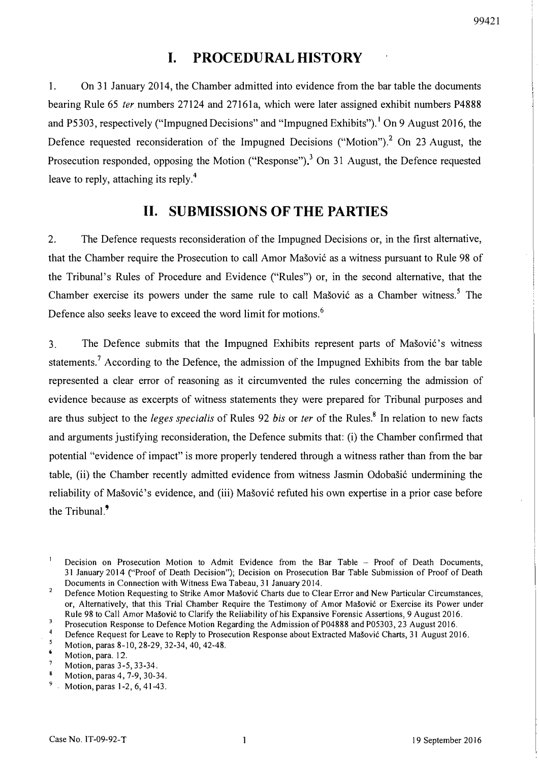# I. PROCEDURAL HISTORY

1. On 31 January 2014, the Chamber admitted into evidence from the bar table the documents bearing Rule 65 *ter* numbers 27124 and 27161a, which were later assigned exhibit numbers P4888 and P5303, respectively ("Impugned Decisions" and "Impugned Exhibits"). <sup>1</sup> On 9 August 2016, the Defence requested reconsideration of the Impugned Decisions ("Motion").<sup>2</sup> On 23 August, the Prosecution responded, opposing the Motion ("Response")<sup>3</sup> On 31 August, the Defence requested leave to reply, attaching its reply.<sup>4</sup>

# 11. SUBMISSIONS OF THE PARTIES

2. The Defence requests reconsideration of the Impugned Decisions or, in the first alternative, that the Chamber require the Prosecution to call Amor Mašović as a witness pursuant to Rule 98 of the Tribunal's Rules of Procedure and Evidence ("Rules") or, in the second alternative, that the Chamber exercise its powers under the same rule to call Mašović as a Chamber witness.<sup>5</sup> The Defence also seeks leave to exceed the word limit for motions.<sup>6</sup>

3. The Defence submits that the Impugned Exhibits represent parts of Masovi6' s witness statements.<sup>7</sup> According to the Defence, the admission of the Impugned Exhibits from the bar table represented a clear error of reasoning as it circumvented the rules concerning the admission of evidence because as excerpts of witness statements they were prepared for Tribunal purposes and are thus subject to the leges specialis of Rules 92 bis or ter of the Rules.<sup>8</sup> In relation to new facts and arguments justifying reconsideration, the Defence submits that: (i) the Chamber confirmed that potential "evidence of impact" is more properly tendered through a witness rather than from the bar table, (ii) the Chamber recently admitted evidence from witness Jasmin Odobašić undermining the reliability of Mašović's evidence, and (iii) Mašović refuted his own expertise in a prior case before the Tribunal<sup>9</sup>

 $\mathbf{1}$ Decision on Prosecution Motion to Admit Evidence from the Bar Table - Proof of Death Documents, 31 January 2014 ("Proof of Death Decision"); Decision on Prosecution Bar Table Submission of Proof of Death Documents in Connection with Witness Ewa Tabeau, 31 January 2014.

 $\overline{a}$ Defence Motion Requesting to Strike Amor Mašović Charts due to Clear Error and New Particular Circumstances, or, Alternatively, that this Trial Chamber Require the Testimony of Amor Mašović or Exercise its Power under Rule 98 to Call Amor Mašović to Clarify the Reliability of his Expansive Forensic Assertions, 9 August 2016.

Prosecution Response to Defence Motion Regarding the Admission of P04888 and P05303, 23 August 2016.

Defence Request for Leave to Reply to Prosecution Response about Extracted Mašović Charts, 31 August 2016.

Motion, paras 8-10, 28-29, 32-34, 40, 42-48.

<sup>6</sup>  Motion, para. 12.

 $\overline{7}$ Motion, paras 3-5, 33-34.

 $\mathbf{g}$ Motion, paras 4, 7-9, 30-34.

<sup>9</sup>  Motion, paras 1-2, 6, 41-43.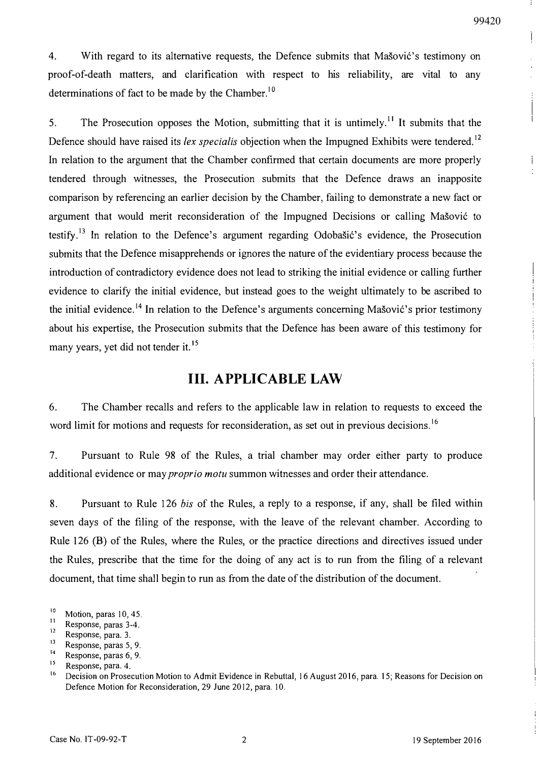Ť

4. With regard to its alternative requests, the Defence submits that Masovic's testimony on proof-of-death matters, and clarification with respect to his reliability, are vital to any determinations of fact to be made by the Chamber.<sup>10</sup>

5. The Prosecution opposes the Motion, submitting that it is untimely.<sup>11</sup> It submits that the Defence should have raised its lex specialis objection when the Impugned Exhibits were tendered.<sup>12</sup> In relation to the argument that the Chamber confirmed that certain documents are more properly tendered through witnesses, the Prosecution submits that the Defence draws an inapposite comparison by referencing an earlier decision by the Chamber, failing to demonstrate a new fact or argument that would merit reconsideration of the Impugned Decisions or calling Mašović to testify.<sup>13</sup> In relation to the Defence's argument regarding Odobastic's evidence, the Prosecution submits that the Defence misapprehends or ignores the nature of the evidentiary process because the introduction of contradictory evidence does not lead to striking the initial evidence or calling further evidence to clarify the initial evidence, but instead goes to the weight ultimately to be ascribed to the initial evidence.<sup>14</sup> In relation to the Defence's arguments concerning Mašović's prior testimony about his expertise, the Prosecution submits that the Defence has been aware of this testimony for many years, yet did not tender it.<sup>15</sup>

## Ill. A PPLICABLE LAW

6. The Chamber recalls and refers to the applicable law in relation to requests to exceed the word limit for motions and requests for reconsideration, as set out in previous decisions.<sup>16</sup>

7. Pursuant to Rule 98 of the Rules, a trial chamber may order either party to produce additional evidence or may *proprio motu* summon witnesses and order their attendance.

8. Pursuant to Rule 126 his of the Rules, a reply to a response, if any, shall be filed within seven days of the filing of the response, with the leave of the relevant chamber. According to Rule 126 (B) of the Rules, where the Rules, or the practice directions and directives issued under the Rules, prescribe that the time for the doing of any act is to run from the filing of a relevant document, that time shall begin to run as from the date of the distribution of the document.

 $\frac{10}{11}$  Motion, paras 10, 45.

 $\frac{11}{12}$  Response, paras 3-4.

 $\frac{12}{13}$  Response, para. 3.

 $13$  Response, paras 5, 9.

Response, paras 6, 9.

<sup>1</sup>  $\frac{15}{16}$  Response, para. 4.

Decision on Prosecution Motion to Admit Evidence in Rebuttal, 16 August 2016, para. 15; Reasons for Decision on Defence Motion for Reconsideration, 29 June 2012, para. 10.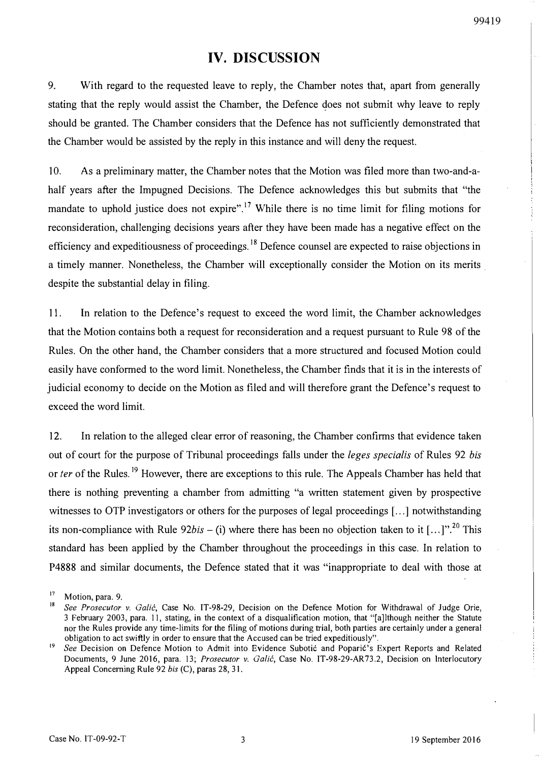## IV. DISCUSSION

9. With regard to the requested leave to reply, the Chamber notes that, apart from generally stating that the reply would assist the Chamber, the Defence does not submit why leave to reply should be granted. The Chamber considers that the Defence has not sufficiently demonstrated that the Chamber would be assisted by the reply in this instance and will deny the request.

10. As a preliminary matter, the Chamber notes that the Motion was filed more than two-and-ahalf years after the Impugned Decisions. The Defence acknowledges this but submits that "the mandate to uphold justice does not expire".<sup>17</sup> While there is no time limit for filing motions for reconsideration, challenging decisions years after they have been made has a negative effect on the efficiency and expeditiousness of proceedings.<sup>18</sup> Defence counsel are expected to raise objections in a timely manner. Nonetheless, the Chamber will exceptionally consider the Motion on its merits despite the substantial delay in filing.

11. In relation to the Defence's request to exceed the word limit, the Chamber acknowledges that the Motion contains both a request for reconsideration and a request pursuant to Rule 98 of the Rules. On the other hand, the Chamber considers that a more structured and focused Motion could easily have conformed to the word limit. Nonetheless, the Chamber finds that it is in the interests of judicial economy to decide on the Motion as filed and will therefore grant the Defence's request to exceed the word limit.

12. In relation to the alleged clear error of reasoning, the Chamber confirms that evidence taken out of court for the purpose of Tribunal proceedings falls under the *leges specialis* of Rules 92 bis or ter of the Rules.<sup>19</sup> However, there are exceptions to this rule. The Appeals Chamber has held that there is nothing preventing a chamber from admitting "a written statement given by prospective witnesses to OTP investigators or others for the purposes of legal proceedings [...] notwithstanding its non-compliance with Rule  $92bis - (i)$  where there has been no objection taken to it [...]".<sup>20</sup> This standard has been applied by the Chamber throughout the proceedings in this case. In relation to P4888 and similar documents, the Defence stated that it was "inappropriate to deal with those at

<sup>&</sup>lt;sup>17</sup> Motion, para. 9.

See Prosecutor v. Galić, Case No. IT-98-29, Decision on the Defence Motion for Withdrawal of Judge Orie, 3 February 2003, para. 11, stating, in the context of a disqualification motion, that "[a]lthough neither the Statute nor the Rules provide any time-limits for the filing of motions during trial, both parties are certainly under a general obligation to act swiftly in order to ensure that the Accused can be tried expeditiously".

See Decision on Defence Motion to Admit into Evidence Subotic and Poparic's Expert Reports and Related Documents, 9 June 2016, para. 13; Prosecutor v. Galić, Case No. IT-98-29-AR73.2, Decision on Interlocutory Appeal Concerning Rule 92 his (C), paras 28, 31.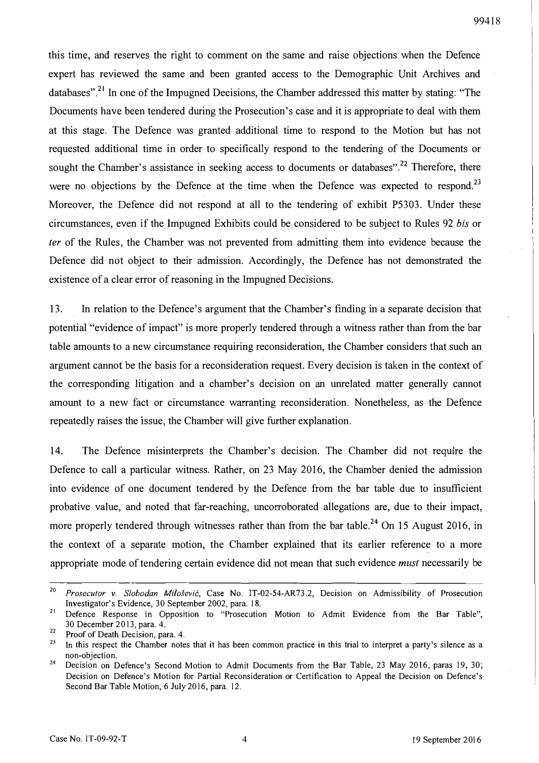this time, and reserves the right to comment on the same and raise objections when the Defence expert has reviewed the same and been granted access to the Demographic Unit Archives and databases".<sup>21</sup> In one of the Impugned Decisions, the Chamber addressed this matter by stating: "The Documents have been tendered during the Prosecution's case and it is appropriate to deal with them at this stage. The Defence was granted additional time to respond to the Motion but has not requested additional time in order to specifically respond to the tendering of the Documents or sought the Chamber's assistance in seeking access to documents or databases".<sup>22</sup> Therefore, there were no objections by the Defence at the time when the Defence was expected to respond.<sup>23</sup> Moreover, the Defence did not respond at all to the tendering of exhibit P5303. Under these circumstances, even if the Impugned Exhibits could be considered to be subject to Rules 92 bis or ter of the Rules, the Chamber was not prevented from admitting them into evidence because the Defence did not object to their admission. Accordingly, the Defence has not demonstrated the existence of a clear error of reasoning in the Impugned Decisions.

13. In relation to the Defence's argument that the Chamber's finding in a separate decision that potential "evidence of impact" is more properly tendered through a witness rather than from the bar table amounts to a new circumstance requiring reconsideration, the Chamber considers that such an argument cannot be the basis for a reconsideration request. Every decision is taken in the context of the corresponding litigation and a chamber's decision on an unrelated matter generally cannot amount to a new fact or circumstance warranting reconsideration. Nonetheless, as the Defence repeatedly raises the issue, the Chamber will give further explanation.

14. The Defence misinterprets the Chamber's decision. The Chamber did not require the Defence to call a particular witness. Rather, on 23 May 2016, the Chamber denied the admission into evidence of one document tendered by the Defence from the bar table due to insufficient probative value, and noted that far-reaching, uncorroborated allegations are, due to their impact, more properly tendered through witnesses rather than from the bar table.<sup>24</sup> On 15 August 2016, in the context of a separate motion, the Chamber explained that its earlier reference to a more appropriate mode of tendering certain evidence did not mean that such evidence must necessarily be

<sup>2</sup> Prosecutor v. Slobodan Milošević, Case No. IT-02-54-AR73.2, Decision on Admissibility of Prosecution Investigator's Evidence, 30 September 2002, para. 18.

<sup>&</sup>lt;sup>21</sup> Defence Response in Opposition to "Prosecution Motion to Admit Evidence from the Bar Table", 30 December 20 13, para. 4.

 $22$  Proof of Death Decision, para. 4.

In this respect the Chamber notes that it has been common practice in this trial to interpret a party's silence as a non-objection.

<sup>&</sup>lt;sup>24</sup> Decision on Defence's Second Motion to Admit Documents from the Bar Table, 23 May 2016, paras 19, 30; Decision on Defence's Motion for Partial Reconsideration or Certification to Appeal the Decision on Defence's Second Bar Table Motion, 6 July 20 16, para. 12.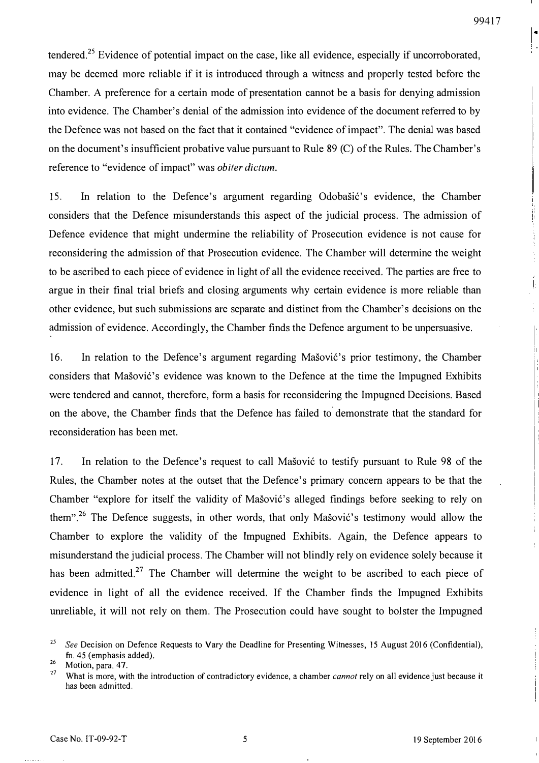İ.

tendered.<sup>25</sup> Evidence of potential impact on the case, like all evidence, especially if uncorroborated, may be deemed more reliable if it is introduced through a witness and properly tested before the Chamber. A preference for a certain mode of presentation cannot be a basis for denying admission into evidence. The Chamber's denial of the admission into evidence of the document referred to by the Defence was not based on the fact that it contained "evidence of impact". The denial was based on the document's insufficient probative value pursuant to Rule 89 (C) of the Rules. The Chamber's reference to "evidence of impact" was obiter dictum.

15. In relation to the Defence's argument regarding Odobašić's evidence, the Chamber considers that the Defence misunderstands this aspect of the judicial process. The admission of Defence evidence that might undermine the reliability of Prosecution evidence is not cause for reconsidering the admission of that Prosecution evidence. The Chamber will determine the weight to be ascribed to each piece of evidence in light of all the evidence received. The parties are free to argue in their final trial briefs and closing arguments why certain evidence is more reliable than other evidence, but such submissions are separate and distinct from the Chamber's decisions on the admission of evidence. Accordingly, the Chamber finds the Defence argument to be unpersuasive.

16. In relation to the Defence's argument regarding Mašović's prior testimony, the Chamber considers that Mašović's evidence was known to the Defence at the time the Impugned Exhibits were tendered and cannot, therefore, form a basis for reconsidering the Impugned Decisions. Based on the above, the Chamber finds that the Defence has failed to demonstrate that the standard for reconsideration has been met.

17. In relation to the Defence's request to call Mašović to testify pursuant to Rule 98 of the Rules, the Chamber notes at the outset that the Defence's primary concern appears to be that the Chamber "explore for itself the validity of Mašović's alleged findings before seeking to rely on them".<sup>26</sup> The Defence suggests, in other words, that only Mašović's testimony would allow the Chamber to explore the validity of the Impugned Exhibits. Again, the Defence appears to misunderstand the judicial process. The Chamber will not blindly rely on evidence solely because it has been admitted.<sup>27</sup> The Chamber will determine the weight to be ascribed to each piece of evidence in light of all the evidence received. If the Chamber finds the Impugned Exhibits umeliable, it will not rely on them. The Prosecution could have sought to bolster the Impugned

 $^{25}$  See Decision on Defence Requests to Vary the Deadline for Presenting Witnesses, 15 August 2016 (Confidential), fn. 45 (emphasis added).

 $\frac{26}{27}$  Motion, para. 47.

What is more, with the introduction of contradictory evidence, a chamber *cannot* rely on all evidence just because it has been admitted.